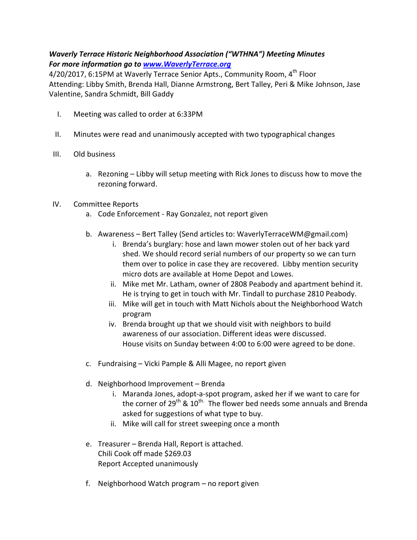## Waverly Terrace Historic Neighborhood Association ("WTHNA") Meeting Minutes For more information go to www.WaverlyTerrace.org

4/20/2017, 6:15PM at Waverly Terrace Senior Apts., Community Room, 4<sup>th</sup> Floor Attending: Libby Smith, Brenda Hall, Dianne Armstrong, Bert Talley, Peri & Mike Johnson, Jase Valentine, Sandra Schmidt, Bill Gaddy

- I. Meeting was called to order at 6:33PM
- II. Minutes were read and unanimously accepted with two typographical changes
- III. Old business
	- a. Rezoning Libby will setup meeting with Rick Jones to discuss how to move the rezoning forward.

## IV. Committee Reports

- a. Code Enforcement Ray Gonzalez, not report given
- b. Awareness Bert Talley (Send articles to: WaverlyTerraceWM@gmail.com)
	- i. Brenda's burglary: hose and lawn mower stolen out of her back yard shed. We should record serial numbers of our property so we can turn them over to police in case they are recovered. Libby mention security micro dots are available at Home Depot and Lowes.
	- ii. Mike met Mr. Latham, owner of 2808 Peabody and apartment behind it. He is trying to get in touch with Mr. Tindall to purchase 2810 Peabody.
	- iii. Mike will get in touch with Matt Nichols about the Neighborhood Watch program
	- iv. Brenda brought up that we should visit with neighbors to build awareness of our association. Different ideas were discussed. House visits on Sunday between 4:00 to 6:00 were agreed to be done.
- c. Fundraising Vicki Pample & Alli Magee, no report given
- d. Neighborhood Improvement Brenda
	- i. Maranda Jones, adopt-a-spot program, asked her if we want to care for the corner of  $29^{th}$  &  $10^{th}$ . The flower bed needs some annuals and Brenda asked for suggestions of what type to buy.
	- ii. Mike will call for street sweeping once a month
- e. Treasurer Brenda Hall, Report is attached. Chili Cook off made \$269.03 Report Accepted unanimously
- f. Neighborhood Watch program no report given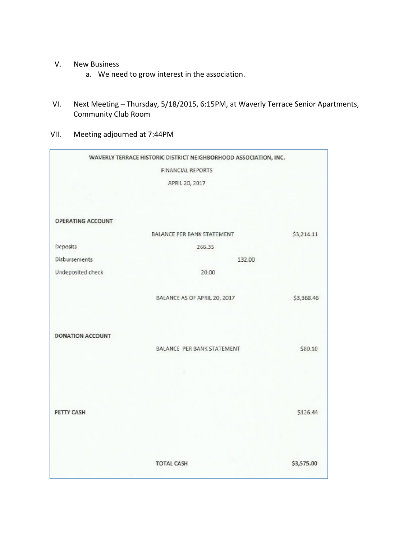- V. New Business
	- a. We need to grow interest in the association.
- VI. Next Meeting Thursday, 5/18/2015, 6:15PM, at Waverly Terrace Senior Apartments, Community Club Room
- VII. Meeting adjourned at 7:44PM

|                   | WAVERLY TERRACE HISTORIC DISTRICT NEIGHBORHOOD ASSOCIATION, INC. |            |  |
|-------------------|------------------------------------------------------------------|------------|--|
|                   | <b>FINANCIAL REPORTS</b>                                         |            |  |
|                   | APRIL 20, 2017                                                   |            |  |
|                   |                                                                  |            |  |
|                   |                                                                  |            |  |
| OPERATING ACCOUNT |                                                                  |            |  |
|                   | BALANCE PER BANK STATEMENT                                       | \$3,214.11 |  |
| Deposits          | 266.35                                                           |            |  |
| Disbursements     | 132.00                                                           |            |  |
| Undeposited check | 20.00                                                            |            |  |
|                   |                                                                  |            |  |
|                   | BALANCE AS OF APRIL 20, 2017                                     | \$3,368.46 |  |
|                   |                                                                  |            |  |
|                   |                                                                  |            |  |
| DONATION ACCOUNT  |                                                                  |            |  |
|                   | BALANCE PER BANK STATEMENT                                       | \$80.10    |  |
|                   |                                                                  |            |  |
|                   |                                                                  |            |  |
|                   |                                                                  |            |  |
|                   |                                                                  |            |  |
| PETTY CASH        |                                                                  | \$126.44   |  |
|                   |                                                                  |            |  |
|                   |                                                                  |            |  |
|                   | <b>TOTAL CASH</b>                                                | \$3,575.00 |  |
|                   |                                                                  |            |  |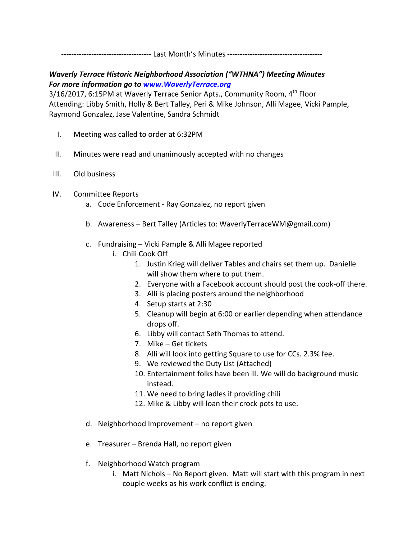------------------------------------ Last Month's Minutes --------------------------------------

## Waverly Terrace Historic Neighborhood Association ("WTHNA") Meeting Minutes For more information go to www.WaverlyTerrace.org

3/16/2017, 6:15PM at Waverly Terrace Senior Apts., Community Room, 4<sup>th</sup> Floor Attending: Libby Smith, Holly & Bert Talley, Peri & Mike Johnson, Alli Magee, Vicki Pample, Raymond Gonzalez, Jase Valentine, Sandra Schmidt

- I. Meeting was called to order at 6:32PM
- II. Minutes were read and unanimously accepted with no changes
- III. Old business
- IV. Committee Reports
	- a. Code Enforcement Ray Gonzalez, no report given
	- b. Awareness Bert Talley (Articles to: WaverlyTerraceWM@gmail.com)
	- c. Fundraising Vicki Pample & Alli Magee reported
		- i. Chili Cook Off
			- 1. Justin Krieg will deliver Tables and chairs set them up. Danielle will show them where to put them.
			- 2. Everyone with a Facebook account should post the cook-off there.
			- 3. Alli is placing posters around the neighborhood
			- 4. Setup starts at 2:30
			- 5. Cleanup will begin at 6:00 or earlier depending when attendance drops off.
			- 6. Libby will contact Seth Thomas to attend.
			- 7. Mike Get tickets
			- 8. Alli will look into getting Square to use for CCs. 2.3% fee.
			- 9. We reviewed the Duty List (Attached)
			- 10. Entertainment folks have been ill. We will do background music instead.
			- 11. We need to bring ladles if providing chili
			- 12. Mike & Libby will loan their crock pots to use.
	- d. Neighborhood Improvement no report given
	- e. Treasurer Brenda Hall, no report given
	- f. Neighborhood Watch program
		- i. Matt Nichols No Report given. Matt will start with this program in next couple weeks as his work conflict is ending.